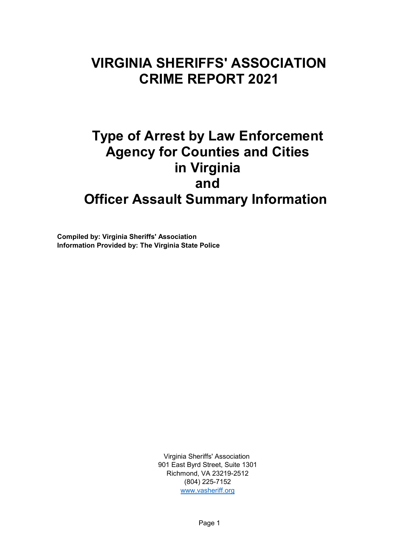### **VIRGINIA SHERIFFS' ASSOCIATION CRIME REPORT 2021**

# **Type of Arrest by Law Enforcement Agency for Counties and Cities in Virginia and Officer Assault Summary Information**

**Compiled by: Virginia Sheriffs' Association Information Provided by: The Virginia State Police**

> Virginia Sheriffs' Association 901 East Byrd Street, Suite 1301 Richmond, VA 23219-2512 (804) 225-7152 [www.vasheriff.org](http://www.vasheriff.org/)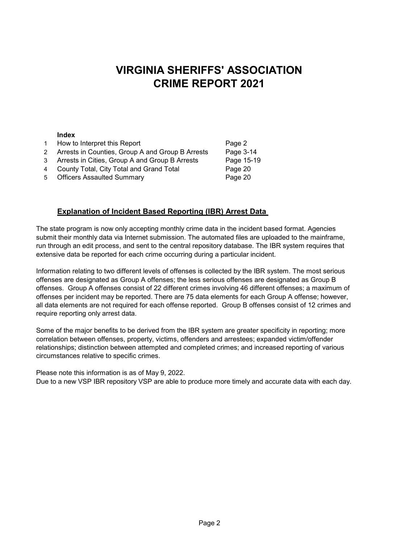#### **VIRGINIA SHERIFFS' ASSOCIATION CRIME REPORT 2021**

#### **Index**

| How to Interpret this Report                       | Page 2     |
|----------------------------------------------------|------------|
| 2 Arrests in Counties, Group A and Group B Arrests | Page 3-14  |
| 3 Arrests in Cities, Group A and Group B Arrests   | Page 15-19 |
|                                                    |            |

- 4 County Total, City Total and Grand Total **Page 20**
- 5 Officers Assaulted Summary **Page 20**

#### **Explanation of Incident Based Reporting (IBR) Arrest Data**

The state program is now only accepting monthly crime data in the incident based format. Agencies submit their monthly data via Internet submission. The automated files are uploaded to the mainframe, run through an edit process, and sent to the central repository database. The IBR system requires that extensive data be reported for each crime occurring during a particular incident.

require reporting only arrest data. all data elements are not required for each offense reported. Group B offenses consist of 12 crimes and Information relating to two different levels of offenses is collected by the IBR system. The most serious offenses are designated as Group A offenses; the less serious offenses are designated as Group B offenses. Group A offenses consist of 22 different crimes involving 46 different offenses; a maximum of offenses per incident may be reported. There are 75 data elements for each Group A offense; however,

circumstances relative to specific crimes. Some of the major benefits to be derived from the IBR system are greater specificity in reporting; more correlation between offenses, property, victims, offenders and arrestees; expanded victim/offender relationships; distinction between attempted and completed crimes; and increased reporting of various

Please note this information is as of May 9, 2022. Due to a new VSP IBR repository VSP are able to produce more timely and accurate data with each day.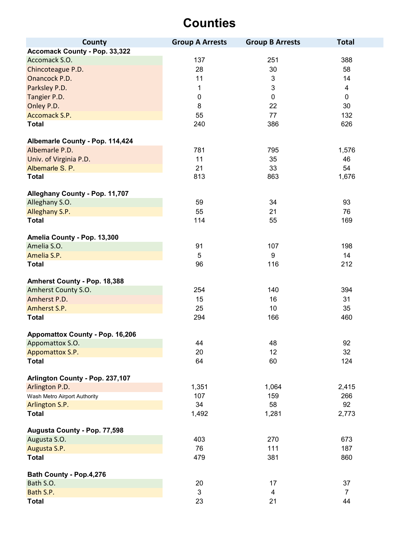| County                          | <b>Group A Arrests</b> | <b>Group B Arrests</b> | <b>Total</b>   |
|---------------------------------|------------------------|------------------------|----------------|
| Accomack County - Pop. 33,322   |                        |                        |                |
| Accomack S.O.                   | 137                    | 251                    | 388            |
| Chincoteague P.D.               | 28                     | 30                     | 58             |
| Onancock P.D.                   | 11                     | 3                      | 14             |
| Parksley P.D.                   | 1                      | 3                      | $\overline{4}$ |
| Tangier P.D.                    | $\pmb{0}$              | $\pmb{0}$              | $\mathbf 0$    |
| Onley P.D.                      | 8                      | 22                     | 30             |
| Accomack S.P.                   | 55                     | 77                     | 132            |
| <b>Total</b>                    | 240                    | 386                    | 626            |
|                                 |                        |                        |                |
| Albemarle County - Pop. 114,424 |                        |                        |                |
| Albemarle P.D.                  | 781                    | 795                    | 1,576          |
| Univ. of Virginia P.D.          | 11                     | 35                     | 46             |
| Albemarle S. P.                 | 21                     | 33                     | 54             |
| <b>Total</b>                    | 813                    | 863                    | 1,676          |
|                                 |                        |                        |                |
| Alleghany County - Pop. 11,707  |                        |                        |                |
| Alleghany S.O.                  | 59                     | 34                     | 93             |
| Alleghany S.P.                  | 55                     | 21                     | 76             |
| <b>Total</b>                    | 114                    | 55                     | 169            |
|                                 |                        |                        |                |
| Amelia County - Pop. 13,300     |                        |                        |                |
| Amelia S.O.                     | 91                     | 107                    | 198            |
| Amelia S.P.                     | 5                      | 9                      | 14             |
| <b>Total</b>                    | 96                     | 116                    | 212            |
|                                 |                        |                        |                |
| Amherst County - Pop. 18,388    |                        |                        |                |
| Amherst County S.O.             | 254                    | 140                    | 394            |
| Amherst P.D.                    | 15                     | 16                     | 31             |
| Amherst S.P.                    | 25                     | 10                     | 35             |
| <b>Total</b>                    | 294                    | 166                    | 460            |
|                                 |                        |                        |                |
| Appomattox County - Pop. 16,206 | 44                     | 48                     | 92             |
| Appomattox S.O.                 |                        |                        |                |
| Appomattox S.P.<br><b>Total</b> | 20<br>64               | 12<br>60               | 32<br>124      |
|                                 |                        |                        |                |
| Arlington County - Pop. 237,107 |                        |                        |                |
| Arlington P.D.                  | 1,351                  | 1,064                  | 2,415          |
| Wash Metro Airport Authority    | 107                    | 159                    | 266            |
| Arlington S.P.                  | 34                     | 58                     | 92             |
| <b>Total</b>                    | 1,492                  | 1,281                  | 2,773          |
|                                 |                        |                        |                |
| Augusta County - Pop. 77,598    |                        |                        |                |
| Augusta S.O.                    | 403                    | 270                    | 673            |
| Augusta S.P.                    | 76                     | 111                    | 187            |
| <b>Total</b>                    | 479                    | 381                    | 860            |
|                                 |                        |                        |                |
| Bath County - Pop.4,276         |                        |                        |                |
| Bath S.O.                       | 20                     | 17                     | 37             |
| Bath S.P.                       | $\mathfrak{S}$         | 4                      | $\overline{7}$ |
| <b>Total</b>                    | 23                     | 21                     | 44             |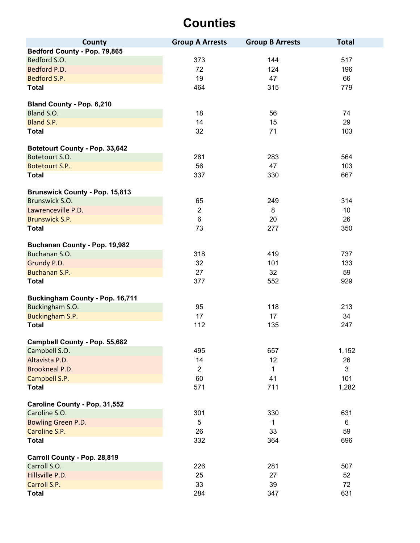| County                                | <b>Group A Arrests</b> | <b>Group B Arrests</b> | <b>Total</b>    |
|---------------------------------------|------------------------|------------------------|-----------------|
| Bedford County - Pop. 79,865          |                        |                        |                 |
| Bedford S.O.                          | 373                    | 144                    | 517             |
| Bedford P.D.                          | 72                     | 124                    | 196             |
| Bedford S.P.                          | 19                     | 47                     | 66              |
| <b>Total</b>                          | 464                    | 315                    | 779             |
|                                       |                        |                        |                 |
| <b>Bland County - Pop. 6,210</b>      |                        |                        |                 |
| Bland S.O.                            | 18                     | 56                     | 74              |
| Bland S.P.                            | 14                     | 15                     | 29              |
| <b>Total</b>                          | 32                     | 71                     | 103             |
|                                       |                        |                        |                 |
| Botetourt County - Pop. 33,642        |                        |                        |                 |
| Botetourt S.O.                        | 281                    | 283                    | 564             |
| Botetourt S.P.                        | 56                     | 47                     | 103             |
| <b>Total</b>                          | 337                    | 330                    | 667             |
|                                       |                        |                        |                 |
| <b>Brunswick County - Pop. 15,813</b> |                        |                        |                 |
| Brunswick S.O.                        | 65                     | 249                    | 314             |
| Lawrenceville P.D.                    | $\sqrt{2}$             | 8                      | 10 <sup>1</sup> |
| <b>Brunswick S.P.</b>                 | $\,6$                  | 20                     | 26              |
| <b>Total</b>                          | 73                     | 277                    | 350             |
|                                       |                        |                        |                 |
| Buchanan County - Pop. 19,982         |                        |                        |                 |
| Buchanan S.O.                         | 318                    | 419                    | 737             |
| Grundy P.D.                           | 32                     | 101                    | 133             |
| Buchanan S.P.                         | 27                     | 32                     | 59              |
| <b>Total</b>                          | 377                    | 552                    | 929             |
| Buckingham County - Pop. 16,711       |                        |                        |                 |
| Buckingham S.O.                       | 95                     | 118                    | 213             |
| Buckingham S.P.                       | 17                     | 17                     | 34              |
| <b>Total</b>                          | 112                    | 135                    | 247             |
|                                       |                        |                        |                 |
| Campbell County - Pop. 55,682         |                        |                        |                 |
| Campbell S.O.                         | 495                    | 657                    | 1,152           |
| Altavista P.D.                        | 14                     | 12                     | 26              |
| <b>Brookneal P.D.</b>                 | $\overline{2}$         | 1                      | $\mathbf{3}$    |
| Campbell S.P.                         | 60                     | 41                     | 101             |
| <b>Total</b>                          | 571                    | 711                    | 1,282           |
|                                       |                        |                        |                 |
| Caroline County - Pop. 31,552         |                        |                        |                 |
| Caroline S.O.                         | 301                    | 330                    | 631             |
| Bowling Green P.D.                    | $\overline{5}$         | 1                      | 6               |
| Caroline S.P.                         | 26                     | 33                     | 59              |
| <b>Total</b>                          | 332                    | 364                    | 696             |
|                                       |                        |                        |                 |
| Carroll County - Pop. 28,819          |                        |                        |                 |
| Carroll S.O.                          | 226                    | 281                    | 507             |
| Hillsville P.D.                       | 25                     | 27                     | 52              |
| Carroll S.P.                          | 33                     | 39                     | 72              |
| <b>Total</b>                          | 284                    | 347                    | 631             |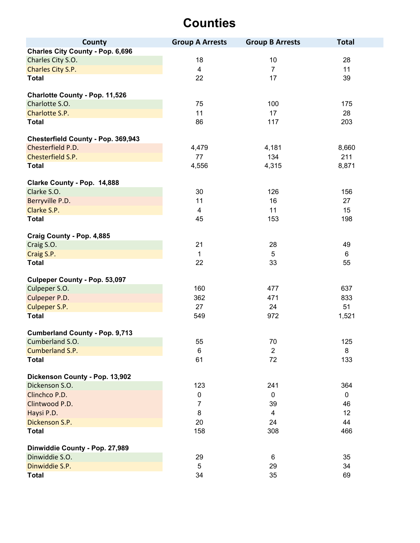| County                                           | <b>Group A Arrests</b> | <b>Group B Arrests</b> | <b>Total</b> |
|--------------------------------------------------|------------------------|------------------------|--------------|
| <b>Charles City County - Pop. 6,696</b>          |                        |                        |              |
| Charles City S.O.                                | 18                     | 10                     | 28           |
| Charles City S.P.                                | $\overline{4}$         | $\overline{7}$         | 11           |
| <b>Total</b>                                     | 22                     | 17                     | 39           |
|                                                  |                        |                        |              |
| Charlotte County - Pop. 11,526<br>Charlotte S.O. | 75                     | 100                    |              |
| Charlotte S.P.                                   |                        |                        | 175          |
|                                                  | 11                     | 17                     | 28           |
| <b>Total</b>                                     | 86                     | 117                    | 203          |
| Chesterfield County - Pop. 369,943               |                        |                        |              |
| Chesterfield P.D.                                | 4,479                  | 4,181                  | 8,660        |
| Chesterfield S.P.                                | 77                     | 134                    | 211          |
| <b>Total</b>                                     | 4,556                  | 4,315                  | 8,871        |
| Clarke County - Pop. 14,888                      |                        |                        |              |
| Clarke S.O.                                      | 30                     | 126                    | 156          |
| Berryville P.D.                                  | 11                     | 16                     | 27           |
| Clarke S.P.                                      | 4                      | 11                     | 15           |
| <b>Total</b>                                     | 45                     | 153                    | 198          |
| Craig County - Pop. 4,885                        |                        |                        |              |
| Craig S.O.                                       | 21                     | 28                     | 49           |
| Craig S.P.                                       | $\mathbf 1$            | 5                      | 6            |
| <b>Total</b>                                     | 22                     | 33                     | 55           |
|                                                  |                        |                        |              |
| <b>Culpeper County - Pop. 53,097</b>             |                        |                        |              |
| Culpeper S.O.                                    | 160                    | 477                    | 637          |
| Culpeper P.D.                                    | 362                    | 471                    | 833          |
| Culpeper S.P.                                    | 27                     | 24                     | 51           |
| <b>Total</b>                                     | 549                    | 972                    | 1,521        |
| <b>Cumberland County - Pop. 9,713</b>            |                        |                        |              |
| Cumberland S.O.                                  | 55                     | 70                     | 125          |
| Cumberland S.P.                                  | $\,6$                  | $\overline{2}$         | 8            |
| <b>Total</b>                                     | 61                     | 72                     | 133          |
| Dickenson County - Pop. 13,902                   |                        |                        |              |
| Dickenson S.O.                                   | 123                    | 241                    | 364          |
| Clinchco P.D.                                    | $\pmb{0}$              | $\mathbf 0$            | $\pmb{0}$    |
| Clintwood P.D.                                   | 7                      | 39                     | 46           |
| Haysi P.D.                                       | 8                      | 4                      | 12           |
| Dickenson S.P.                                   | 20                     | 24                     | 44           |
| <b>Total</b>                                     | 158                    | 308                    | 466          |
| Dinwiddie County - Pop. 27,989                   |                        |                        |              |
| Dinwiddie S.O.                                   | 29                     | 6                      | 35           |
| Dinwiddie S.P.                                   | $\overline{5}$         | 29                     | 34           |
| <b>Total</b>                                     | 34                     | 35                     | 69           |
|                                                  |                        |                        |              |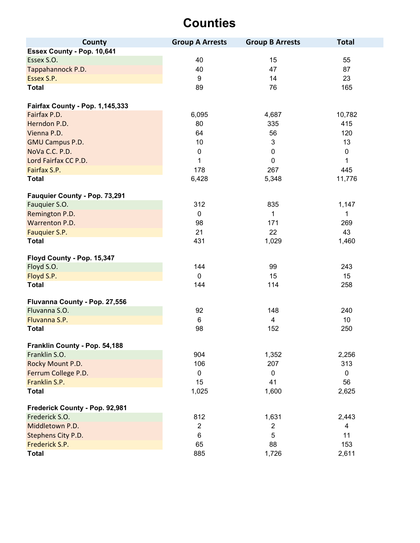| County                                 | <b>Group A Arrests</b> | <b>Group B Arrests</b> | <b>Total</b>   |
|----------------------------------------|------------------------|------------------------|----------------|
| Essex County - Pop. 10,641             |                        |                        |                |
| Essex S.O.                             | 40                     | 15                     | 55             |
| Tappahannock P.D.                      | 40                     | 47                     | 87             |
| Essex S.P.                             | 9                      | 14                     | 23             |
| <b>Total</b>                           | 89                     | 76                     | 165            |
| <b>Fairfax County - Pop. 1,145,333</b> |                        |                        |                |
| Fairfax P.D.                           | 6,095                  | 4,687                  | 10,782         |
| Herndon P.D.                           | 80                     | 335                    | 415            |
| Vienna P.D.                            | 64                     | 56                     | 120            |
| <b>GMU Campus P.D.</b>                 | 10                     | $\mathfrak{B}$         | 13             |
| NoVa C.C. P.D.                         | $\boldsymbol{0}$       | $\mathbf 0$            | $\mathbf 0$    |
| Lord Fairfax CC P.D.                   | 1                      | $\mathbf 0$            | 1              |
| Fairfax S.P.                           | 178                    | 267                    | 445            |
| <b>Total</b>                           | 6,428                  | 5,348                  | 11,776         |
| Fauquier County - Pop. 73,291          |                        |                        |                |
| Fauquier S.O.                          | 312                    | 835                    | 1,147          |
| Remington P.D.                         | $\mathbf 0$            | $\mathbf{1}$           | 1              |
| Warrenton P.D.                         | 98                     | 171                    | 269            |
| Fauquier S.P.                          | 21                     | 22                     | 43             |
| <b>Total</b>                           | 431                    | 1,029                  | 1,460          |
| Floyd County - Pop. 15,347             |                        |                        |                |
| Floyd S.O.                             | 144                    | 99                     | 243            |
| Floyd S.P.                             | $\mathbf 0$            | 15                     | 15             |
| <b>Total</b>                           | 144                    | 114                    | 258            |
| Fluvanna County - Pop. 27,556          |                        |                        |                |
| Fluvanna S.O.                          | 92                     | 148                    | 240            |
| Fluvanna S.P.                          | 6                      | $\overline{4}$         | 10             |
| <b>Total</b>                           | 98                     | 152                    | 250            |
| Franklin County - Pop. 54,188          |                        |                        |                |
| Franklin S.O.                          | 904                    | 1,352                  | 2,256          |
| Rocky Mount P.D.                       | 106                    | 207                    | 313            |
| Ferrum College P.D.                    | $\mathbf 0$            | $\mathbf 0$            | $\mathbf 0$    |
| Franklin S.P.                          | 15                     | 41                     | 56             |
| <b>Total</b>                           | 1,025                  | 1,600                  | 2,625          |
| Frederick County - Pop. 92,981         |                        |                        |                |
| Frederick S.O.                         | 812                    | 1,631                  | 2,443          |
| Middletown P.D.                        | $\overline{2}$         | $\overline{2}$         | $\overline{4}$ |
| Stephens City P.D.                     | 6                      | 5                      | 11             |
| Frederick S.P.                         | 65                     | 88                     | 153            |
| <b>Total</b>                           | 885                    | 1,726                  | 2,611          |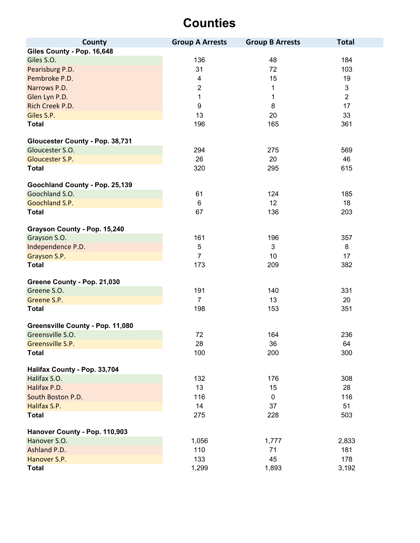| County                           | <b>Group A Arrests</b>  | <b>Group B Arrests</b> | <b>Total</b>   |
|----------------------------------|-------------------------|------------------------|----------------|
| Giles County - Pop. 16,648       |                         |                        |                |
| Giles S.O.                       | 136                     | 48                     | 184            |
| Pearisburg P.D.                  | 31                      | 72                     | 103            |
| Pembroke P.D.                    | $\overline{\mathbf{4}}$ | 15                     | 19             |
| Narrows P.D.                     | $\boldsymbol{2}$        | 1                      | $\mathfrak{S}$ |
| Glen Lyn P.D.                    | 1                       | $\mathbf{1}$           | $\overline{2}$ |
| Rich Creek P.D.                  | $\boldsymbol{9}$        | 8                      | 17             |
| Giles S.P.                       | 13                      | 20                     | 33             |
| <b>Total</b>                     | 196                     | 165                    | 361            |
| Gloucester County - Pop. 38,731  |                         |                        |                |
| Gloucester S.O.                  | 294                     | 275                    | 569            |
| Gloucester S.P.                  | 26                      | 20                     | 46             |
| <b>Total</b>                     | 320                     | 295                    | 615            |
| Goochland County - Pop. 25,139   |                         |                        |                |
| Goochland S.O.                   | 61                      | 124                    | 185            |
| Goochland S.P.                   | $6\phantom{1}$          | 12                     | 18             |
| <b>Total</b>                     | 67                      | 136                    | 203            |
| Grayson County - Pop. 15,240     |                         |                        |                |
| Grayson S.O.                     | 161                     | 196                    | 357            |
| Independence P.D.                | $\sqrt{5}$              | 3                      | 8              |
| Grayson S.P.                     | $\overline{7}$          | 10                     | 17             |
| <b>Total</b>                     | 173                     | 209                    | 382            |
| Greene County - Pop. 21,030      |                         |                        |                |
| Greene S.O.                      | 191                     | 140                    | 331            |
| Greene S.P.                      | $\overline{7}$          | 13                     | 20             |
| <b>Total</b>                     | 198                     | 153                    | 351            |
| Greensville County - Pop. 11,080 |                         |                        |                |
| Greensville S.O.                 | 72                      | 164                    | 236            |
| Greensville S.P.                 | 28                      | 36                     | 64             |
| <b>Total</b>                     | 100                     | 200                    | 300            |
| Halifax County - Pop. 33,704     |                         |                        |                |
| Halifax S.O.                     | 132                     | 176                    | 308            |
| Halifax P.D.                     | 13                      | 15                     | 28             |
| South Boston P.D.                | 116                     | 0                      | 116            |
| Halifax S.P.                     | 14                      | 37                     | 51             |
| <b>Total</b>                     | 275                     | 228                    | 503            |
| Hanover County - Pop. 110,903    |                         |                        |                |
| Hanover S.O.                     | 1,056                   | 1,777                  | 2,833          |
| Ashland P.D.                     | 110                     | 71                     | 181            |
| Hanover S.P.                     | 133                     | 45                     | 178            |
| <b>Total</b>                     | 1,299                   | 1,893                  | 3,192          |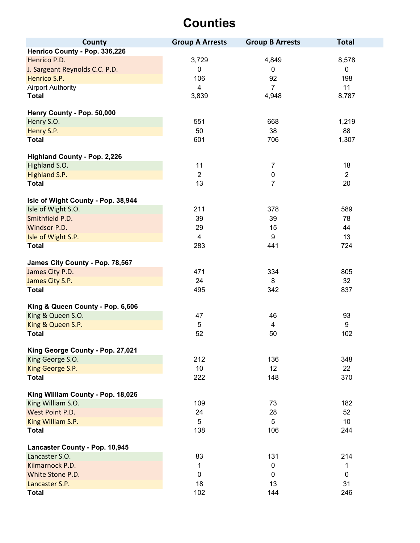| County                              | <b>Group A Arrests</b> | <b>Group B Arrests</b> | <b>Total</b>    |
|-------------------------------------|------------------------|------------------------|-----------------|
| Henrico County - Pop. 336,226       |                        |                        |                 |
| Henrico P.D.                        | 3,729                  | 4,849                  | 8,578           |
| J. Sargeant Reynolds C.C. P.D.      | $\pmb{0}$              | $\mathbf 0$            | $\pmb{0}$       |
| Henrico S.P.                        | 106                    | 92                     | 198             |
| <b>Airport Authority</b>            | $\overline{4}$         | $\overline{7}$         | 11              |
| <b>Total</b>                        | 3,839                  | 4,948                  | 8,787           |
|                                     |                        |                        |                 |
| Henry County - Pop. 50,000          |                        |                        |                 |
| Henry S.O.                          | 551                    | 668                    | 1,219           |
| Henry S.P.                          | 50                     | 38                     | 88              |
| <b>Total</b>                        | 601                    | 706                    | 1,307           |
|                                     |                        |                        |                 |
| <b>Highland County - Pop. 2,226</b> |                        |                        |                 |
| Highland S.O.                       | 11                     | $\overline{7}$         | 18              |
| Highland S.P.                       | $\overline{2}$         | $\pmb{0}$              | $\overline{2}$  |
| <b>Total</b>                        | 13                     | $\overline{7}$         | 20              |
|                                     |                        |                        |                 |
| Isle of Wight County - Pop. 38,944  |                        |                        |                 |
| Isle of Wight S.O.                  | 211                    | 378                    | 589             |
| Smithfield P.D.                     | 39                     | 39                     | 78              |
| Windsor P.D.                        | 29                     | 15                     | 44              |
| Isle of Wight S.P.                  | $\overline{4}$         | 9                      | 13              |
| <b>Total</b>                        | 283                    | 441                    | 724             |
|                                     |                        |                        |                 |
| James City County - Pop. 78,567     |                        |                        |                 |
| James City P.D.                     | 471                    | 334                    | 805             |
| James City S.P.                     | 24                     | 8                      | 32 <sup>°</sup> |
| <b>Total</b>                        | 495                    | 342                    | 837             |
| King & Queen County - Pop. 6,606    |                        |                        |                 |
| King & Queen S.O.                   | 47                     | 46                     | 93              |
| King & Queen S.P.                   | $\sqrt{5}$             | 4                      | 9               |
| <b>Total</b>                        | 52                     | 50                     | 102             |
|                                     |                        |                        |                 |
| King George County - Pop. 27,021    |                        |                        |                 |
| King George S.O.                    | 212                    | 136                    | 348             |
| King George S.P.                    | 10                     | 12                     | 22              |
| <b>Total</b>                        | 222                    | 148                    | 370             |
|                                     |                        |                        |                 |
| King William County - Pop. 18,026   |                        |                        |                 |
| King William S.O.                   | 109                    | 73                     | 182             |
| West Point P.D.                     | 24                     | 28                     | 52              |
| King William S.P.                   | 5                      | 5                      | 10              |
| <b>Total</b>                        | 138                    | 106                    | 244             |
|                                     |                        |                        |                 |
| Lancaster County - Pop. 10,945      |                        |                        |                 |
| Lancaster S.O.                      | 83                     | 131                    | 214             |
| Kilmarnock P.D.                     | 1                      | $\mathbf 0$            | 1               |
| White Stone P.D.                    | $\mathbf 0$            | $\mathbf{0}$           | $\mathbf 0$     |
| Lancaster S.P.                      | 18                     | 13                     | 31              |
| <b>Total</b>                        | 102                    | 144                    | 246             |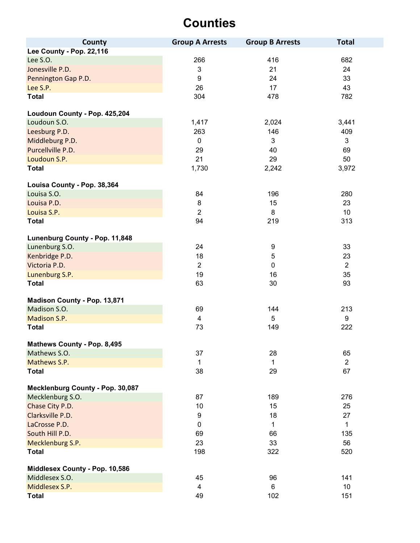| County                           | <b>Group A Arrests</b>  | <b>Group B Arrests</b> | <b>Total</b>   |
|----------------------------------|-------------------------|------------------------|----------------|
| Lee County - Pop. 22,116         |                         |                        |                |
| Lee S.O.                         | 266                     | 416                    | 682            |
| Jonesville P.D.                  | $\mathsf 3$             | 21                     | 24             |
| Pennington Gap P.D.              | $\boldsymbol{9}$        | 24                     | 33             |
| Lee S.P.                         | 26                      | 17                     | 43             |
| <b>Total</b>                     | 304                     | 478                    | 782            |
| Loudoun County - Pop. 425,204    |                         |                        |                |
| Loudoun S.O.                     | 1,417                   | 2,024                  | 3,441          |
| Leesburg P.D.                    | 263                     | 146                    | 409            |
| Middleburg P.D.                  | $\mathbf 0$             | 3                      | 3              |
| Purcellville P.D.                | 29                      | 40                     | 69             |
| Loudoun S.P.                     | 21                      | 29                     | 50             |
| <b>Total</b>                     | 1,730                   | 2,242                  | 3,972          |
| Louisa County - Pop. 38,364      |                         |                        |                |
| Louisa S.O.                      | 84                      | 196                    | 280            |
| Louisa P.D.                      | 8                       | 15                     | 23             |
| Louisa S.P.                      | $\overline{2}$          | 8                      | 10             |
| <b>Total</b>                     | 94                      | 219                    | 313            |
| Lunenburg County - Pop. 11,848   |                         |                        |                |
| Lunenburg S.O.                   | 24                      | 9                      | 33             |
| Kenbridge P.D.                   | 18                      | $\mathbf 5$            | 23             |
| Victoria P.D.                    | $\overline{2}$          | $\mathbf 0$            | $\overline{2}$ |
| Lunenburg S.P.                   | 19                      | 16                     | 35             |
| <b>Total</b>                     | 63                      | 30                     | 93             |
| Madison County - Pop. 13,871     |                         |                        |                |
| Madison S.O.                     | 69                      | 144                    | 213            |
| Madison S.P.                     | 4                       | 5                      | 9              |
| <b>Total</b>                     | 73                      | 149                    | 222            |
| Mathews County - Pop. 8,495      |                         |                        |                |
| Mathews S.O.                     | 37                      | 28                     | 65             |
| Mathews S.P.                     | 1                       | 1                      | $\overline{2}$ |
| <b>Total</b>                     | 38                      | 29                     | 67             |
| Mecklenburg County - Pop. 30,087 |                         |                        |                |
| Mecklenburg S.O.                 | 87                      | 189                    | 276            |
| Chase City P.D.                  | 10                      | 15                     | 25             |
| Clarksville P.D.                 | 9                       | 18                     | 27             |
| LaCrosse P.D.                    | $\boldsymbol{0}$        | 1                      | $\mathbf{1}$   |
| South Hill P.D.                  | 69                      | 66                     | 135            |
| Mecklenburg S.P.                 | 23                      | 33                     | 56             |
| <b>Total</b>                     | 198                     | 322                    | 520            |
| Middlesex County - Pop. 10,586   |                         |                        |                |
| Middlesex S.O.                   | 45                      | 96                     | 141            |
| Middlesex S.P.                   | $\overline{\mathbf{4}}$ | 6                      | 10             |
| <b>Total</b>                     | 49                      | 102                    | 151            |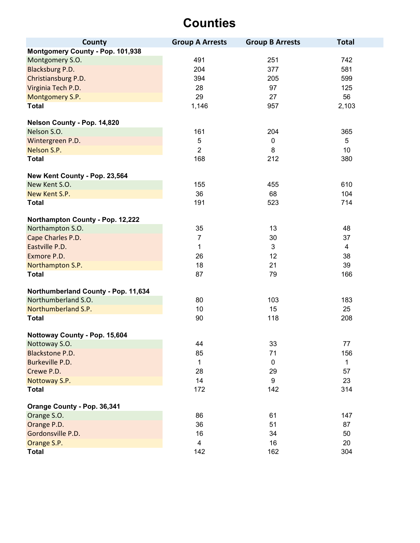| County                              | <b>Group A Arrests</b> | <b>Group B Arrests</b> | <b>Total</b>   |
|-------------------------------------|------------------------|------------------------|----------------|
| Montgomery County - Pop. 101,938    |                        |                        |                |
| Montgomery S.O.                     | 491                    | 251                    | 742            |
| Blacksburg P.D.                     | 204                    | 377                    | 581            |
| Christiansburg P.D.                 | 394                    | 205                    | 599            |
| Virginia Tech P.D.                  | 28                     | 97                     | 125            |
| Montgomery S.P.                     | 29                     | 27                     | 56             |
| <b>Total</b>                        | 1,146                  | 957                    | 2,103          |
| Nelson County - Pop. 14,820         |                        |                        |                |
| Nelson S.O.                         | 161                    | 204                    | 365            |
| Wintergreen P.D.                    | 5                      | $\pmb{0}$              | 5              |
| Nelson S.P.                         | $\overline{2}$         | 8                      | 10             |
| <b>Total</b>                        | 168                    | 212                    | 380            |
| New Kent County - Pop. 23,564       |                        |                        |                |
| New Kent S.O.                       | 155                    | 455                    | 610            |
| New Kent S.P.                       | 36                     | 68                     | 104            |
| <b>Total</b>                        | 191                    | 523                    | 714            |
| Northampton County - Pop. 12,222    |                        |                        |                |
| Northampton S.O.                    | 35                     | 13                     | 48             |
| Cape Charles P.D.                   | $\overline{7}$         | 30                     | 37             |
| Eastville P.D.                      | 1                      | 3                      | $\overline{4}$ |
| Exmore P.D.                         | 26                     | 12                     | 38             |
| Northampton S.P.                    | 18                     | 21                     | 39             |
| <b>Total</b>                        | 87                     | 79                     | 166            |
| Northumberland County - Pop. 11,634 |                        |                        |                |
| Northumberland S.O.                 | 80                     | 103                    | 183            |
| Northumberland S.P.                 | 10                     | 15                     | 25             |
| <b>Total</b>                        | 90                     | 118                    | 208            |
| Nottoway County - Pop. 15,604       |                        |                        |                |
| Nottoway S.O.                       | 44                     | 33                     | $77 \,$        |
| <b>Blackstone P.D.</b>              | 85                     | 71                     | 156            |
| Burkeville P.D.                     | 1                      | $\mathbf 0$            | $\mathbf{1}$   |
| Crewe P.D.                          | 28                     | 29                     | 57             |
| Nottoway S.P.                       | 14                     | 9                      | 23             |
| <b>Total</b>                        | 172                    | 142                    | 314            |
| Orange County - Pop. 36,341         |                        |                        |                |
| Orange S.O.                         | 86                     | 61                     | 147            |
| Orange P.D.                         | 36                     | 51                     | 87             |
| Gordonsville P.D.                   | 16                     | 34                     | 50             |
| Orange S.P.                         | 4                      | 16                     | 20             |
| <b>Total</b>                        | 142                    | 162                    | 304            |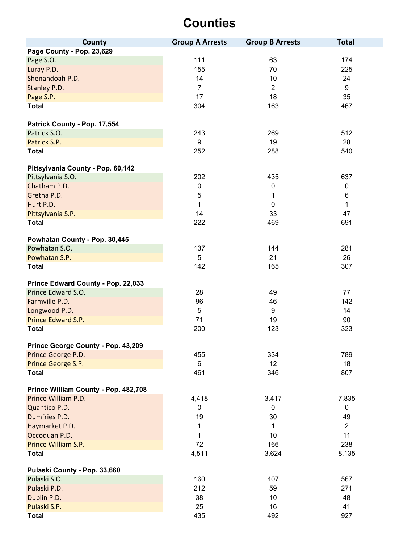| County                               | <b>Group A Arrests</b> | <b>Group B Arrests</b> | <b>Total</b>   |
|--------------------------------------|------------------------|------------------------|----------------|
| Page County - Pop. 23,629            |                        |                        |                |
| Page S.O.                            | 111                    | 63                     | 174            |
| Luray P.D.                           | 155                    | 70                     | 225            |
| Shenandoah P.D.                      | 14                     | 10                     | 24             |
| Stanley P.D.                         | $\overline{7}$         | $\overline{2}$         | 9              |
| Page S.P.                            | 17                     | 18                     | 35             |
| <b>Total</b>                         | 304                    | 163                    | 467            |
|                                      |                        |                        |                |
| Patrick County - Pop. 17,554         |                        |                        |                |
| Patrick S.O.                         | 243                    | 269                    | 512            |
| Patrick S.P.                         | 9                      | 19                     | 28             |
| <b>Total</b>                         | 252                    | 288                    | 540            |
|                                      |                        |                        |                |
| Pittsylvania County - Pop. 60,142    |                        |                        |                |
| Pittsylvania S.O.                    | 202                    | 435                    | 637            |
| Chatham P.D.                         | $\pmb{0}$              | $\mathbf 0$            | 0              |
| Gretna P.D.                          | 5                      | 1                      | 6              |
| Hurt P.D.                            | 1                      | $\mathbf 0$            | $\mathbf 1$    |
| Pittsylvania S.P.                    | 14                     | 33                     | 47             |
| <b>Total</b>                         | 222                    | 469                    | 691            |
|                                      |                        |                        |                |
| Powhatan County - Pop. 30,445        |                        |                        |                |
| Powhatan S.O.                        | 137                    | 144                    | 281            |
| Powhatan S.P.                        | 5                      | 21                     | 26             |
| <b>Total</b>                         | 142                    | 165                    | 307            |
|                                      |                        |                        |                |
| Prince Edward County - Pop. 22,033   |                        |                        |                |
| Prince Edward S.O.                   | 28                     | 49                     | 77             |
| Farmville P.D.                       | 96                     | 46                     | 142            |
| Longwood P.D.                        | 5                      | $\boldsymbol{9}$       | 14             |
| Prince Edward S.P.                   | 71                     | 19                     | 90             |
| <b>Total</b>                         | 200                    | 123                    | 323            |
|                                      |                        |                        |                |
| Prince George County - Pop. 43,209   |                        |                        |                |
| Prince George P.D.                   | 455                    | 334                    | 789            |
| Prince George S.P.                   | 6                      | 12                     | 18             |
| <b>Total</b>                         | 461                    | 346                    | 807            |
| Prince William County - Pop. 482,708 |                        |                        |                |
| Prince William P.D.                  | 4,418                  | 3,417                  | 7,835          |
| Quantico P.D.                        | $\mathbf 0$            | 0                      | $\mathbf 0$    |
| Dumfries P.D.                        | 19                     | 30                     | 49             |
| Haymarket P.D.                       | 1                      | 1                      | $\overline{2}$ |
|                                      | 1                      | 10                     | 11             |
| Occoquan P.D.<br>Prince William S.P. | 72                     | 166                    | 238            |
|                                      |                        |                        |                |
| <b>Total</b>                         | 4,511                  | 3,624                  | 8,135          |
| Pulaski County - Pop. 33,660         |                        |                        |                |
| Pulaski S.O.                         | 160                    | 407                    | 567            |
| Pulaski P.D.                         | 212                    | 59                     | 271            |
| Dublin P.D.                          | 38                     | 10                     | 48             |
| Pulaski S.P.                         | 25                     | 16                     | 41             |
| <b>Total</b>                         | 435                    | 492                    | 927            |
|                                      |                        |                        |                |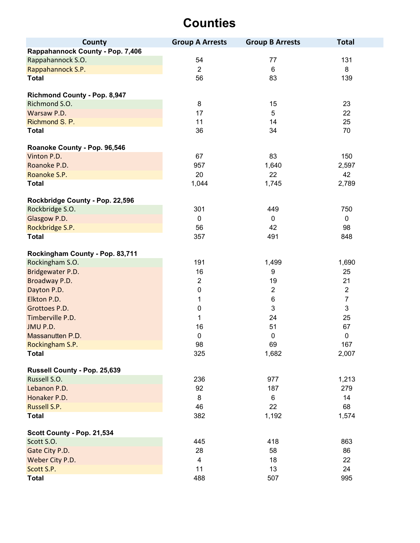| County                              | <b>Group A Arrests</b> | <b>Group B Arrests</b> | <b>Total</b>   |
|-------------------------------------|------------------------|------------------------|----------------|
| Rappahannock County - Pop. 7,406    |                        |                        |                |
| Rappahannock S.O.                   | 54                     | 77                     | 131            |
| Rappahannock S.P.                   | $\overline{2}$         | 6                      | 8              |
| <b>Total</b>                        | 56                     | 83                     | 139            |
|                                     |                        |                        |                |
| <b>Richmond County - Pop. 8,947</b> |                        |                        |                |
| Richmond S.O.                       | $\bf 8$                | 15                     | 23             |
| Warsaw P.D.                         | 17                     | 5                      | 22             |
| Richmond S. P.                      | 11                     | 14                     | 25             |
| <b>Total</b>                        | 36                     | 34                     | 70             |
| Roanoke County - Pop. 96,546        |                        |                        |                |
| Vinton P.D.                         | 67                     | 83                     | 150            |
| Roanoke P.D.                        | 957                    | 1,640                  | 2,597          |
| Roanoke S.P.                        | 20                     | 22                     | 42             |
| <b>Total</b>                        | 1,044                  | 1,745                  | 2,789          |
|                                     |                        |                        |                |
| Rockbridge County - Pop. 22,596     |                        |                        |                |
| Rockbridge S.O.                     | 301                    | 449                    | 750            |
| Glasgow P.D.                        | $\mathbf 0$            | $\mathbf 0$            | $\pmb{0}$      |
| Rockbridge S.P.                     | 56                     | 42                     | 98             |
| <b>Total</b>                        | 357                    | 491                    | 848            |
| Rockingham County - Pop. 83,711     |                        |                        |                |
| Rockingham S.O.                     | 191                    | 1,499                  | 1,690          |
| Bridgewater P.D.                    | 16                     | 9                      | 25             |
| Broadway P.D.                       | $\overline{2}$         | 19                     | 21             |
| Dayton P.D.                         | $\pmb{0}$              | $\overline{2}$         | $\overline{2}$ |
| Elkton P.D.                         | 1                      | 6                      | $\overline{7}$ |
| Grottoes P.D.                       | $\boldsymbol{0}$       | $\mathbf{3}$           | 3              |
| Timberville P.D.                    | 1                      | 24                     | 25             |
| JMU P.D.                            | 16                     | 51                     | 67             |
| Massanutten P.D.                    | $\pmb{0}$              | 0                      | $\pmb{0}$      |
| Rockingham S.P.                     | 98                     | 69                     | 167            |
| <b>Total</b>                        | 325                    | 1,682                  | 2,007          |
|                                     |                        |                        |                |
| Russell County - Pop. 25,639        |                        |                        |                |
| Russell S.O.                        | 236                    | 977                    | 1,213          |
| Lebanon P.D.                        | 92                     | 187                    | 279            |
| Honaker P.D.                        | 8                      | 6                      | 14             |
| Russell S.P.                        | 46                     | 22                     | 68             |
| <b>Total</b>                        | 382                    | 1,192                  | 1,574          |
| Scott County - Pop. 21,534          |                        |                        |                |
| Scott S.O.                          | 445                    | 418                    | 863            |
| Gate City P.D.                      | 28                     | 58                     | 86             |
| Weber City P.D.                     | 4                      | 18                     | 22             |
| Scott S.P.                          | 11                     | 13                     | 24             |
| <b>Total</b>                        | 488                    | 507                    | 995            |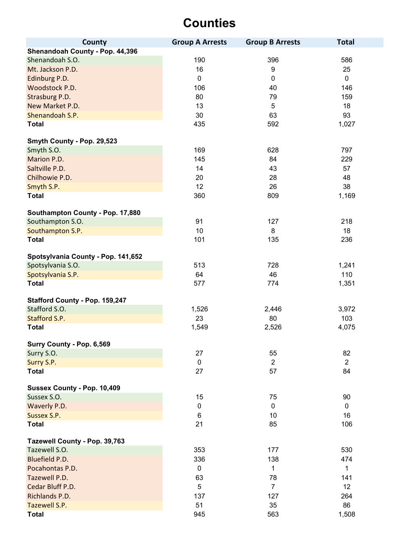| County                             | <b>Group A Arrests</b> | <b>Group B Arrests</b> | <b>Total</b>   |
|------------------------------------|------------------------|------------------------|----------------|
| Shenandoah County - Pop. 44,396    |                        |                        |                |
| Shenandoah S.O.                    | 190                    | 396                    | 586            |
| Mt. Jackson P.D.                   | 16                     | 9                      | 25             |
| Edinburg P.D.                      | $\mathbf 0$            | $\mathbf 0$            | $\mathbf 0$    |
| Woodstock P.D.                     | 106                    | 40                     | 146            |
| Strasburg P.D.                     | 80                     | 79                     | 159            |
| New Market P.D.                    | 13                     | 5                      | 18             |
| Shenandoah S.P.                    | 30                     | 63                     | 93             |
| <b>Total</b>                       | 435                    | 592                    | 1,027          |
|                                    |                        |                        |                |
| Smyth County - Pop. 29,523         |                        |                        |                |
| Smyth S.O.                         | 169                    | 628                    | 797            |
| Marion P.D.                        | 145                    | 84                     | 229            |
| Saltville P.D.                     | 14                     | 43                     | 57             |
| Chilhowie P.D.                     | 20                     | 28                     | 48             |
| Smyth S.P.                         | 12                     | 26                     | 38             |
| <b>Total</b>                       | 360                    | 809                    | 1,169          |
| Southampton County - Pop. 17,880   |                        |                        |                |
| Southampton S.O.                   | 91                     | 127                    | 218            |
| Southampton S.P.                   | 10                     | 8                      | 18             |
| <b>Total</b>                       | 101                    | 135                    | 236            |
|                                    |                        |                        |                |
| Spotsylvania County - Pop. 141,652 |                        |                        |                |
| Spotsylvania S.O.                  | 513                    | 728                    | 1,241          |
| Spotsylvania S.P.                  | 64                     | 46                     | 110            |
| <b>Total</b>                       | 577                    | 774                    | 1,351          |
| Stafford County - Pop. 159,247     |                        |                        |                |
| Stafford S.O.                      | 1,526                  | 2,446                  | 3,972          |
| Stafford S.P.                      | 23                     | 80                     | 103            |
| <b>Total</b>                       | 1,549                  | 2,526                  | 4,075          |
|                                    |                        |                        |                |
| Surry County - Pop. 6,569          |                        |                        |                |
| Surry S.O.                         | 27                     | 55                     | 82             |
| Surry S.P.                         | $\pmb{0}$              | $\overline{2}$         | $\overline{2}$ |
| <b>Total</b>                       | 27                     | 57                     | 84             |
| Sussex County - Pop. 10,409        |                        |                        |                |
| Sussex S.O.                        | 15                     | 75                     | 90             |
| Waverly P.D.                       | $\pmb{0}$              | $\pmb{0}$              | $\mathbf 0$    |
| Sussex S.P.                        | 6                      | 10                     | 16             |
| <b>Total</b>                       | 21                     | 85                     | 106            |
|                                    |                        |                        |                |
| Tazewell County - Pop. 39,763      |                        |                        |                |
| Tazewell S.O.                      | 353                    | 177                    | 530            |
| Bluefield P.D.                     | 336                    | 138                    | 474            |
| Pocahontas P.D.                    | $\pmb{0}$              | 1                      | 1              |
| Tazewell P.D.                      | 63                     | 78                     | 141            |
| Cedar Bluff P.D.                   | 5                      | $\overline{7}$         | 12             |
| Richlands P.D.                     | 137                    | 127                    | 264            |
| Tazewell S.P.                      | 51                     | 35                     | 86             |
| <b>Total</b>                       | 945                    | 563                    | 1,508          |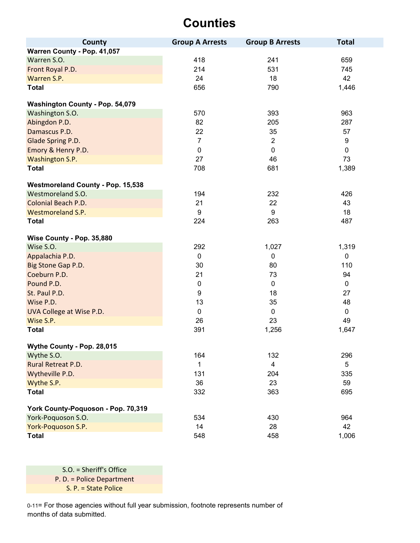| <b>County</b>                            | <b>Group A Arrests</b> | <b>Group B Arrests</b> | <b>Total</b> |
|------------------------------------------|------------------------|------------------------|--------------|
| Warren County - Pop. 41,057              |                        |                        |              |
| Warren S.O.                              | 418                    | 241                    | 659          |
| Front Royal P.D.                         | 214                    | 531                    | 745          |
| Warren S.P.                              | 24                     | 18                     | 42           |
| <b>Total</b>                             | 656                    | 790                    | 1,446        |
| Washington County - Pop. 54,079          |                        |                        |              |
| Washington S.O.                          | 570                    | 393                    | 963          |
| Abingdon P.D.                            | 82                     | 205                    | 287          |
| Damascus P.D.                            | 22                     | 35                     | 57           |
| Glade Spring P.D.                        | $\overline{7}$         | $\overline{2}$         | 9            |
| Emory & Henry P.D.                       | $\pmb{0}$              | $\pmb{0}$              | $\mathbf 0$  |
| Washington S.P.                          | 27                     | 46                     | 73           |
| <b>Total</b>                             | 708                    | 681                    | 1,389        |
| <b>Westmoreland County - Pop. 15,538</b> |                        |                        |              |
| Westmoreland S.O.                        | 194                    | 232                    | 426          |
| Colonial Beach P.D.                      | 21                     | 22                     | 43           |
| <b>Westmoreland S.P.</b>                 | 9                      | 9                      | 18           |
| <b>Total</b>                             | 224                    | 263                    | 487          |
|                                          |                        |                        |              |
| Wise County - Pop. 35,880                |                        |                        |              |
| Wise S.O.                                | 292                    | 1,027                  | 1,319        |
| Appalachia P.D.                          | $\pmb{0}$              | $\mathbf 0$            | 0            |
| Big Stone Gap P.D.                       | 30                     | 80                     | 110          |
| Coeburn P.D.                             | 21                     | 73                     | 94           |
| Pound P.D.                               | $\pmb{0}$              | $\mathbf 0$            | $\mathbf 0$  |
| St. Paul P.D.                            | 9                      | 18                     | 27           |
| Wise P.D.                                | 13                     | 35                     | 48           |
| UVA College at Wise P.D.                 | $\mathbf 0$            | 0                      | $\mathbf 0$  |
| Wise S.P.                                | 26                     | 23                     | 49           |
| <b>Total</b>                             | 391                    | 1,256                  | 1,647        |
| Wythe County - Pop. 28,015               |                        |                        |              |
| Wythe S.O.                               | 164                    | 132                    | 296          |
| Rural Retreat P.D.                       | 1                      | $\overline{4}$         | 5            |
| Wytheville P.D.                          | 131                    | 204                    | 335          |
| Wythe S.P.                               | 36                     | 23                     | 59           |
| <b>Total</b>                             | 332                    | 363                    | 695          |
| York County-Poquoson - Pop. 70,319       |                        |                        |              |
| York-Poquoson S.O.                       | 534                    | 430                    | 964          |
| York-Poquoson S.P.                       | 14                     | 28                     | 42           |
| <b>Total</b>                             | 548                    | 458                    | 1,006        |

P. D. = Police Department S. P. = State Police S.O. = Sheriff's Office

0-11= For those agencies without full year submission, footnote represents number of months of data submitted.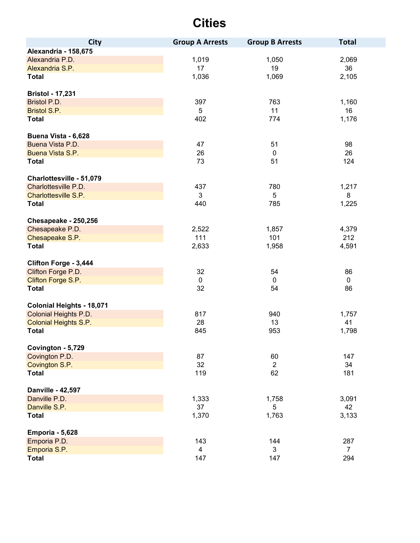| <b>City</b>                      | <b>Group A Arrests</b> | <b>Group B Arrests</b> | <b>Total</b>   |
|----------------------------------|------------------------|------------------------|----------------|
| Alexandria - 158,675             |                        |                        |                |
| Alexandria P.D.                  | 1,019                  | 1,050                  | 2,069          |
| Alexandria S.P.                  | 17                     | 19                     | 36             |
| <b>Total</b>                     | 1,036                  | 1,069                  | 2,105          |
|                                  |                        |                        |                |
| <b>Bristol - 17,231</b>          |                        |                        |                |
| Bristol P.D.                     | 397                    | 763                    | 1,160          |
| <b>Bristol S.P.</b>              | 5                      | 11                     | 16             |
| <b>Total</b>                     | 402                    | 774                    | 1,176          |
| Buena Vista - 6,628              |                        |                        |                |
| Buena Vista P.D.                 | 47                     | 51                     | 98             |
| Buena Vista S.P.                 | 26                     | $\mathbf 0$            | 26             |
| <b>Total</b>                     | 73                     | 51                     | 124            |
|                                  |                        |                        |                |
| Charlottesville - 51,079         |                        |                        |                |
| Charlottesville P.D.             | 437                    | 780                    | 1,217          |
| Charlottesville S.P.             | $\mathfrak{S}$         | 5                      | 8              |
| <b>Total</b>                     | 440                    | 785                    | 1,225          |
|                                  |                        |                        |                |
| Chesapeake - 250,256             |                        |                        |                |
| Chesapeake P.D.                  | 2,522<br>111           | 1,857<br>101           | 4,379<br>212   |
| Chesapeake S.P.                  |                        |                        |                |
| <b>Total</b>                     | 2,633                  | 1,958                  | 4,591          |
| Clifton Forge - 3,444            |                        |                        |                |
| Clifton Forge P.D.               | 32                     | 54                     | 86             |
| Clifton Forge S.P.               | $\pmb{0}$              | 0                      | $\mathbf 0$    |
| <b>Total</b>                     | 32                     | 54                     | 86             |
|                                  |                        |                        |                |
| <b>Colonial Heights - 18,071</b> |                        |                        |                |
| Colonial Heights P.D.            | 817                    | 940                    | 1,757          |
| <b>Colonial Heights S.P.</b>     | 28                     | 13                     | 41             |
| <b>Total</b>                     | 845                    | 953                    | 1,798          |
| Covington - 5,729                |                        |                        |                |
| Covington P.D.                   | 87                     | 60                     | 147            |
| Covington S.P.                   | 32                     | $\overline{2}$         | 34             |
| <b>Total</b>                     | 119                    | 62                     | 181            |
|                                  |                        |                        |                |
| Danville - 42,597                |                        |                        |                |
| Danville P.D.                    | 1,333                  | 1,758                  | 3,091          |
| Danville S.P.                    | 37                     | 5                      | 42             |
| <b>Total</b>                     | 1,370                  | 1,763                  | 3,133          |
| <b>Emporia - 5,628</b>           |                        |                        |                |
| Emporia P.D.                     | 143                    | 144                    | 287            |
| Emporia S.P.                     | $\overline{4}$         | 3                      | $\overline{7}$ |
| <b>Total</b>                     | 147                    | 147                    | 294            |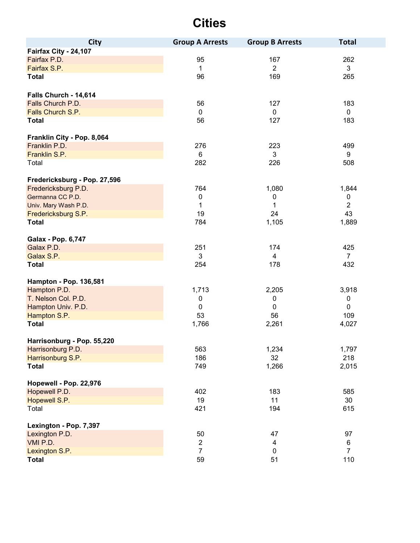| <b>City</b>                  | <b>Group A Arrests</b> | <b>Group B Arrests</b> | <b>Total</b>   |
|------------------------------|------------------------|------------------------|----------------|
| Fairfax City - 24,107        |                        |                        |                |
| Fairfax P.D.                 | 95                     | 167                    | 262            |
| Fairfax S.P.                 | $\mathbf{1}$           | $\overline{2}$         | 3              |
| <b>Total</b>                 | 96                     | 169                    | 265            |
| Falls Church - 14,614        |                        |                        |                |
| Falls Church P.D.            | 56                     | 127                    | 183            |
| Falls Church S.P.            | $\pmb{0}$              | $\mathbf 0$            | $\mathbf 0$    |
| <b>Total</b>                 | 56                     | 127                    | 183            |
| Franklin City - Pop. 8,064   |                        |                        |                |
| Franklin P.D.                | 276                    | 223                    | 499            |
| Franklin S.P.                | 6                      | 3                      | 9              |
| Total                        | 282                    | 226                    | 508            |
| Fredericksburg - Pop. 27,596 |                        |                        |                |
| Fredericksburg P.D.          | 764                    | 1,080                  | 1,844          |
| Germanna CC P.D.             | $\pmb{0}$              | 0                      | 0              |
| Univ. Mary Wash P.D.         | $\mathbf 1$            | 1                      | $\overline{2}$ |
| Fredericksburg S.P.          | 19                     | 24                     | 43             |
| <b>Total</b>                 | 784                    | 1,105                  | 1,889          |
| Galax - Pop. 6,747           |                        |                        |                |
| Galax P.D.                   | 251                    | 174                    | 425            |
| Galax S.P.                   | $\mathbf{3}$           | $\overline{4}$         | $\overline{7}$ |
| <b>Total</b>                 | 254                    | 178                    | 432            |
| Hampton - Pop. 136,581       |                        |                        |                |
| Hampton P.D.                 | 1,713                  | 2,205                  | 3,918          |
| T. Nelson Col. P.D.          | $\pmb{0}$              | 0                      | $\pmb{0}$      |
| Hampton Univ. P.D.           | $\pmb{0}$              | 0                      | $\mathbf 0$    |
| Hampton S.P.                 | 53                     | 56                     | 109            |
| <b>Total</b>                 | 1,766                  | 2,261                  | 4,027          |
| Harrisonburg - Pop. 55,220   |                        |                        |                |
| Harrisonburg P.D.            | 563                    | 1,234                  | 1,797          |
| Harrisonburg S.P.            | 186                    | 32                     | 218            |
| <b>Total</b>                 | 749                    | 1,266                  | 2,015          |
| Hopewell - Pop. 22,976       |                        |                        |                |
| Hopewell P.D.                | 402                    | 183                    | 585            |
| Hopewell S.P.                | 19                     | 11                     | 30             |
| Total                        | 421                    | 194                    | 615            |
| Lexington - Pop. 7,397       |                        |                        |                |
| Lexington P.D.               | 50                     | 47                     | 97             |
| VMI P.D.                     | $\overline{2}$         | 4                      | 6              |
| Lexington S.P.               | $\overline{7}$         | 0                      | $\overline{7}$ |
| <b>Total</b>                 | 59                     | 51                     | 110            |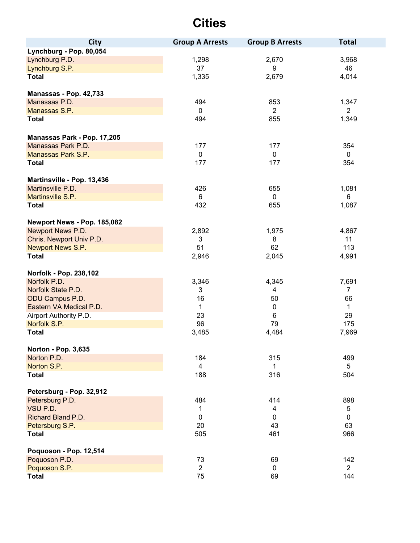| <b>City</b>                                      | <b>Group A Arrests</b> | <b>Group B Arrests</b>  | <b>Total</b>   |
|--------------------------------------------------|------------------------|-------------------------|----------------|
| Lynchburg - Pop. 80,054                          |                        |                         |                |
| Lynchburg P.D.                                   | 1,298                  | 2,670                   | 3,968          |
| Lynchburg S.P.                                   | 37                     | 9                       | 46             |
| <b>Total</b>                                     | 1,335                  | 2,679                   | 4,014          |
|                                                  |                        |                         |                |
| Manassas - Pop. 42,733                           |                        |                         |                |
| Manassas P.D.                                    | 494                    | 853                     | 1,347          |
| Manassas S.P.                                    | 0                      | $\overline{2}$          | $\overline{2}$ |
| <b>Total</b>                                     | 494                    | 855                     | 1,349          |
| Manassas Park - Pop. 17,205                      |                        |                         |                |
| Manassas Park P.D.                               | 177                    | 177                     | 354            |
| Manassas Park S.P.                               | $\mathbf 0$            | $\mathbf 0$             | $\mathbf 0$    |
| <b>Total</b>                                     | 177                    | 177                     | 354            |
|                                                  |                        |                         |                |
| Martinsville - Pop. 13,436                       |                        |                         |                |
| Martinsville P.D.                                | 426                    | 655                     | 1,081          |
| Martinsville S.P.                                | 6                      | $\mathbf{0}$            | 6              |
| <b>Total</b>                                     | 432                    | 655                     | 1,087          |
|                                                  |                        |                         |                |
| Newport News - Pop. 185,082<br>Newport News P.D. | 2,892                  | 1,975                   | 4,867          |
| Chris. Newport Univ P.D.                         | 3                      | 8                       | 11             |
| Newport News S.P.                                | 51                     | 62                      | 113            |
| <b>Total</b>                                     | 2,946                  | 2,045                   | 4,991          |
|                                                  |                        |                         |                |
| Norfolk - Pop. 238,102                           |                        |                         |                |
| Norfolk P.D.                                     | 3,346                  | 4,345                   | 7,691          |
| Norfolk State P.D.                               | 3                      | 4                       | $\overline{7}$ |
| ODU Campus P.D.                                  | 16                     | 50                      | 66             |
| Eastern VA Medical P.D.                          | $\mathbf{1}$           | $\mathbf 0$             | $\mathbf{1}$   |
| Airport Authority P.D.                           | 23                     | 6                       | 29             |
| Norfolk S.P.                                     | 96                     | 79                      | 175            |
| <b>Total</b>                                     | 3,485                  | 4,484                   | 7,969          |
| <b>Norton - Pop. 3,635</b>                       |                        |                         |                |
| Norton P.D.                                      | 184                    | 315                     | 499            |
| Norton S.P.                                      | $\overline{4}$         | 1                       | 5              |
| <b>Total</b>                                     | 188                    | 316                     | 504            |
|                                                  |                        |                         |                |
| Petersburg - Pop. 32,912                         |                        |                         |                |
| Petersburg P.D.                                  | 484                    | 414                     | 898            |
| VSU P.D.<br>Richard Bland P.D.                   | 1                      | $\overline{\mathbf{4}}$ | 5              |
|                                                  | $\pmb{0}$              | $\mathbf 0$             | 0              |
| Petersburg S.P.                                  | 20                     | 43                      | 63             |
| <b>Total</b>                                     | 505                    | 461                     | 966            |
| Poquoson - Pop. 12,514                           |                        |                         |                |
| Poquoson P.D.                                    | 73                     | 69                      | 142            |
| Poquoson S.P.                                    | $\overline{2}$         | 0                       | $\overline{2}$ |
| <b>Total</b>                                     | 75                     | 69                      | 144            |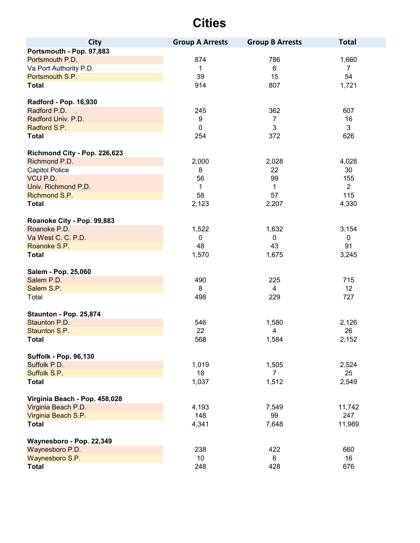| <b>City</b>                   | <b>Group A Arrests</b> | <b>Group B Arrests</b> | <b>Total</b>   |
|-------------------------------|------------------------|------------------------|----------------|
| Portsmouth - Pop. 97,883      |                        |                        |                |
| Portsmouth P.D.               | 874                    | 786                    | 1,660          |
| Va Port Authority P.D.        | $\mathbf{1}$           | 6                      | $\overline{7}$ |
| Portsmouth S.P.               | 39                     | 15                     | 54             |
| <b>Total</b>                  | 914                    | 807                    | 1,721          |
| Radford - Pop. 16,930         |                        |                        |                |
| Radford P.D.                  | 245                    | 362                    | 607            |
| Radford Univ. P.D.            | 9                      | 7                      | 16             |
| Radford S.P.                  | $\pmb{0}$              | 3                      | 3              |
| <b>Total</b>                  | 254                    | 372                    | 626            |
| Richmond City - Pop. 226,623  |                        |                        |                |
| Richmond P.D.                 | 2,000                  | 2,028                  | 4,028          |
| <b>Capitol Police</b>         | 8                      | 22                     | 30             |
| VCU P.D.                      | 56                     | 99                     | 155            |
| Univ. Richmond P.D.           | 1                      | 1                      | $\overline{2}$ |
| Richmond S.P.                 | 58                     | 57                     | 115            |
| <b>Total</b>                  | 2,123                  | 2,207                  | 4,330          |
| Roanoke City - Pop. 99,883    |                        |                        |                |
| Roanoke P.D.                  | 1,522                  | 1,632                  | 3,154          |
| Va West C. C. P.D.            | $\mathbf 0$            | 0                      | 0              |
| Roanoke S.P.                  | 48                     | 43                     | 91             |
| <b>Total</b>                  | 1,570                  | 1,675                  | 3,245          |
| Salem - Pop. 25,060           |                        |                        |                |
| Salem P.D.                    | 490                    | 225                    | 715            |
| Salem S.P.                    | 8                      | $\overline{4}$         | 12             |
| Total                         | 498                    | 229                    | 727            |
| Staunton - Pop. 25,874        |                        |                        |                |
| Staunton P.D.                 | 546                    | 1,580                  | 2,126          |
| Staunton S.P.                 | 22                     | $\overline{4}$         | 26             |
| <b>Total</b>                  | 568                    | 1,584                  | 2,152          |
| <b>Suffolk - Pop. 96,130</b>  |                        |                        |                |
| Suffolk P.D.                  | 1,019                  | 1,505                  | 2,524          |
| Suffolk S.P.                  | 18                     | 7                      | 25             |
| <b>Total</b>                  | 1,037                  | 1,512                  | 2,549          |
| Virginia Beach - Pop. 458,028 |                        |                        |                |
| Virginia Beach P.D.           | 4,193                  | 7,549                  | 11,742         |
| Virginia Beach S.P.           | 148                    | 99                     | 247            |
| <b>Total</b>                  | 4,341                  | 7,648                  | 11,989         |
| Waynesboro - Pop. 22,349      |                        |                        |                |
| Waynesboro P.D.               | 238                    | 422                    | 660            |
| Waynesboro S.P.               | 10                     | 6                      | 16             |
| <b>Total</b>                  | 248                    | 428                    | 676            |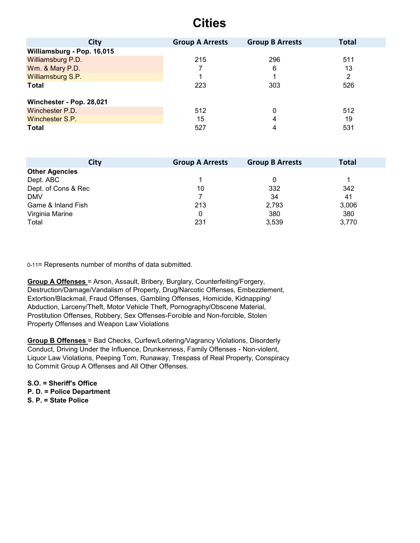| <b>City</b>                | <b>Group A Arrests</b> | <b>Group B Arrests</b> | <b>Total</b> |
|----------------------------|------------------------|------------------------|--------------|
| Williamsburg - Pop. 16,015 |                        |                        |              |
| Williamsburg P.D.          | 215                    | 296                    | 511          |
| Wm. & Mary P.D.            |                        | 6                      | 13           |
| Williamsburg S.P.          |                        |                        | 2            |
| <b>Total</b>               | 223                    | 303                    | 526          |
| Winchester - Pop. 28,021   |                        |                        |              |
| Winchester P.D.            | 512                    | $\Omega$               | 512          |
| Winchester S.P.            | 15                     | 4                      | 19           |
| <b>Total</b>               | 527                    | 4                      | 531          |

| <b>City</b>           | <b>Group A Arrests</b> | <b>Group B Arrests</b> | <b>Total</b> |
|-----------------------|------------------------|------------------------|--------------|
| <b>Other Agencies</b> |                        |                        |              |
| Dept. ABC             |                        | 0                      |              |
| Dept. of Cons & Rec   | 10                     | 332                    | 342          |
| <b>DMV</b>            |                        | 34                     | 41           |
| Game & Inland Fish    | 213                    | 2,793                  | 3,006        |
| Virginia Marine       |                        | 380                    | 380          |
| Total                 | 231                    | 3,539                  | 3,770        |

0-11= Represents number of months of data submitted.

**Group A Offenses** = Arson, Assault, Bribery, Burglary, Counterfeiting/Forgery, Destruction/Damage/Vandalism of Property, Drug/Narcotic Offenses, Embezzlement, Extortion/Blackmail, Fraud Offenses, Gambling Offenses, Homicide, Kidnapping/ Abduction, Larceny/Theft, Motor Vehicle Theft, Pornography/Obscene Material, Prostitution Offenses, Robbery, Sex Offenses-Forcible and Non-forcible, Stolen Property Offenses and Weapon Law Violations

**Group B Offenses** = Bad Checks, Curfew/Loitering/Vagrancy Violations, Disorderly Conduct, Driving Under the Influence, Drunkenness, Family Offenses - Non-violent, Liquor Law Violations, Peeping Tom, Runaway, Trespass of Real Property, Conspiracy to Commit Group A Offenses and All Other Offenses.

**S.O. = Sheriff's Office P. D. = Police Department S. P. = State Police**